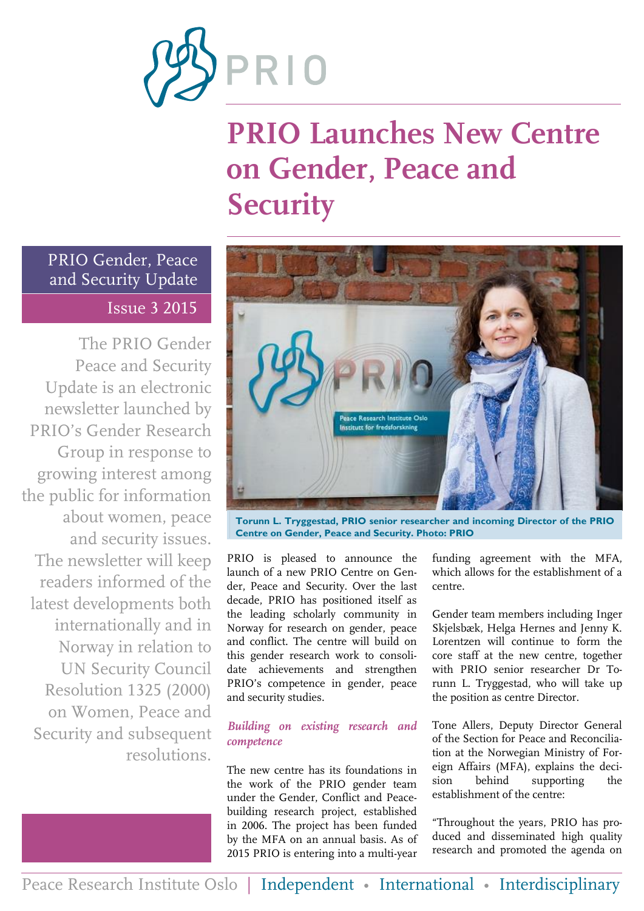

# **PRIO Launches New Centre on Gender, Peace and Security**

PRIO Gender, Peace and Security Update Issue 3 2015

The PRIO Gender Peace and Security Update is an electronic newsletter launched by PRIO's Gender Research Group in response to growing interest among the public for information about women, peace and security issues. The newsletter will keep readers informed of the latest developments both internationally and in Norway in relation to UN Security Council Resolution 1325 (2000) on Women, Peace and Security and subsequent resolutions.



**Torunn L. Tryggestad, PRIO senior researcher and incoming Director of the PRIO Centre on Gender, Peace and Security. Photo: PRIO**

PRIO is pleased to announce the launch of a new PRIO Centre on Gender, Peace and Security. Over the last decade, PRIO has positioned itself as the leading scholarly community in Norway for research on gender, peace and conflict. The centre will build on this gender research work to consolidate achievements and strengthen PRIO's competence in gender, peace and security studies.

#### *Building on existing research and competence*

The new centre has its foundations in the work of the PRIO gender team under the Gender, Conflict and Peacebuilding research project, established in 2006. The project has been funded by the MFA on an annual basis. As of 2015 PRIO is entering into a multi-year

funding agreement with the MFA, which allows for the establishment of a centre.

Gender team members including Inger Skjelsbæk, Helga Hernes and Jenny K. Lorentzen will continue to form the core staff at the new centre, together with PRIO senior researcher Dr Torunn L. Tryggestad, who will take up the position as centre Director.

Tone Allers, Deputy Director General of the Section for Peace and Reconciliation at the Norwegian Ministry of Foreign Affairs (MFA), explains the decision behind supporting the establishment of the centre:

"Throughout the years, PRIO has produced and disseminated high quality research and promoted the agenda on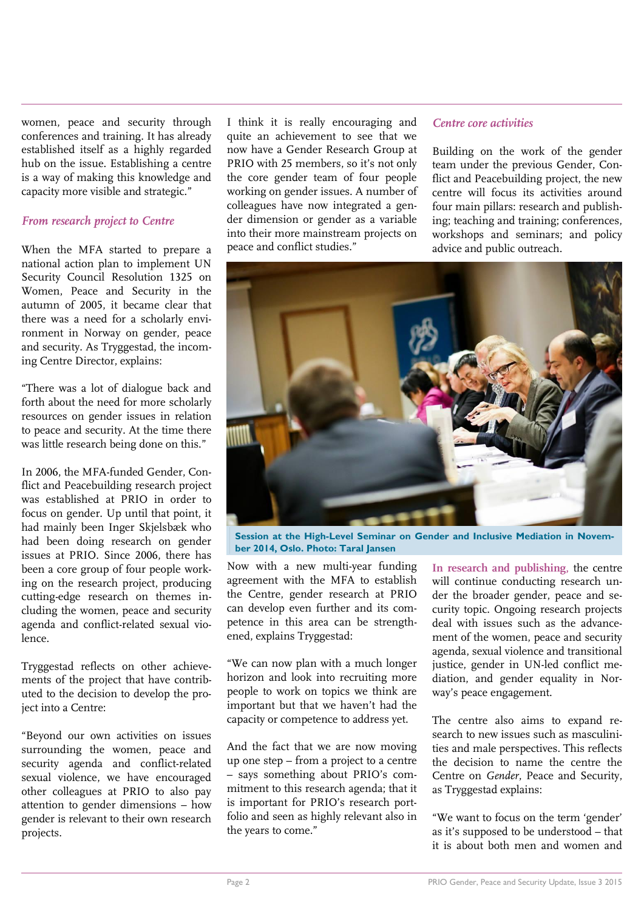women, peace and security through conferences and training. It has already established itself as a highly regarded hub on the issue. Establishing a centre is a way of making this knowledge and capacity more visible and strategic."

#### *From research project to Centre*

When the MFA started to prepare a national action plan to implement UN Security Council Resolution 1325 on Women, Peace and Security in the autumn of 2005, it became clear that there was a need for a scholarly environment in Norway on gender, peace and security. As Tryggestad, the incoming Centre Director, explains:

"There was a lot of dialogue back and forth about the need for more scholarly resources on gender issues in relation to peace and security*.* At the time there was little research being done on this."

In 2006, the MFA-funded Gender, Conflict and Peacebuilding research project was established at PRIO in order to focus on gender. Up until that point, it had mainly been Inger Skjelsbæk who had been doing research on gender issues at PRIO. Since 2006, there has been a core group of four people working on the research project, producing cutting-edge research on themes including the women, peace and security agenda and conflict-related sexual violence.

Tryggestad reflects on other achievements of the project that have contributed to the decision to develop the project into a Centre:

"Beyond our own activities on issues surrounding the women, peace and security agenda and conflict-related sexual violence, we have encouraged other colleagues at PRIO to also pay attention to gender dimensions – how gender is relevant to their own research projects.

I think it is really encouraging and quite an achievement to see that we now have a Gender Research Group at PRIO with 25 members, so it's not only the core gender team of four people working on gender issues. A number of colleagues have now integrated a gender dimension or gender as a variable into their more mainstream projects on peace and conflict studies."

#### *Centre core activities*

Building on the work of the gender team under the previous Gender, Conflict and Peacebuilding project, the new centre will focus its activities around four main pillars: research and publishing; teaching and training; conferences, workshops and seminars; and policy advice and public outreach.



**Session at the High-Level Seminar on Gender and Inclusive Mediation in November 2014, Oslo. Photo: Taral Jansen**

Now with a new multi-year funding agreement with the MFA to establish the Centre, gender research at PRIO can develop even further and its competence in this area can be strengthened, explains Tryggestad:

"We can now plan with a much longer horizon and look into recruiting more people to work on topics we think are important but that we haven't had the capacity or competence to address yet.

And the fact that we are now moving up one step – from a project to a centre – says something about PRIO's commitment to this research agenda; that it is important for PRIO's research portfolio and seen as highly relevant also in the years to come."

**In research and publishing,** the centre will continue conducting research under the broader gender, peace and security topic. Ongoing research projects deal with issues such as the advancement of the women, peace and security agenda, sexual violence and transitional justice, gender in UN-led conflict mediation, and gender equality in Norway's peace engagement.

The centre also aims to expand research to new issues such as masculinities and male perspectives. This reflects the decision to name the centre the Centre on *Gender*, Peace and Security, as Tryggestad explains:

"We want to focus on the term 'gender' as it's supposed to be understood – that it is about both men and women and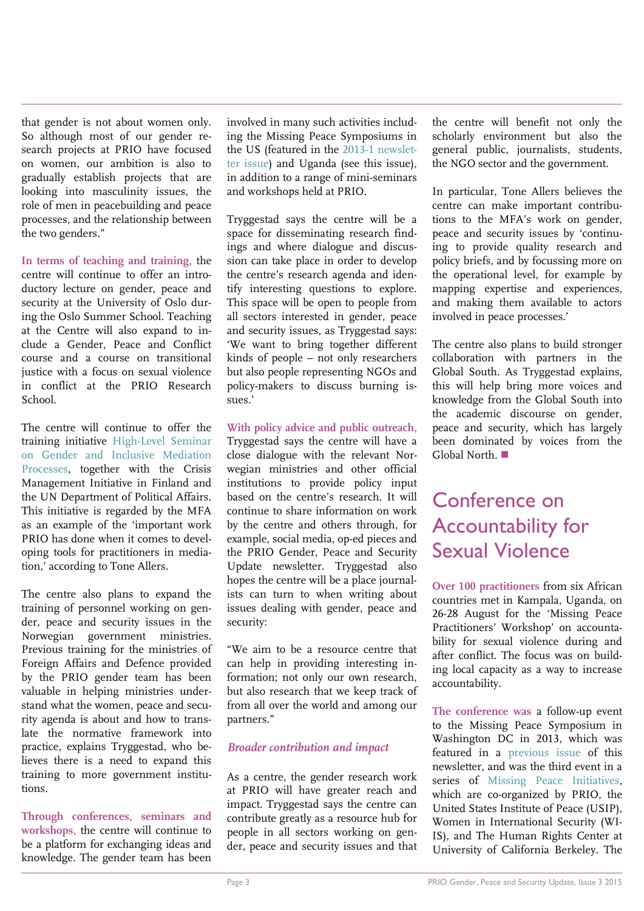that gender is not about women only. So although most of our gender research projects at PRIO have focused on women, our ambition is also to gradually establish projects that are looking into masculinity issues, the role of men in peacebuilding and peace processes, and the relationship between the two genders."

**In terms of teaching and training,** the centre will continue to offer an introductory lecture on gender, peace and security at the University of Oslo during the Oslo Summer School. Teaching at the Centre will also expand to include a Gender, Peace and Conflict course and a course on transitional justice with a focus on sexual violence in conflict at the PRIO Research School.

The centre will continue to offer the training initiative [High-Level Seminar](https://www.prio.org/Projects/Project/?x=1117)  [on Gender and Inclusive Mediation](https://www.prio.org/Projects/Project/?x=1117)  [Processes,](https://www.prio.org/Projects/Project/?x=1117) together with the Crisis Management Initiative in Finland and the UN Department of Political Affairs. This initiative is regarded by the MFA as an example of the 'important work PRIO has done when it comes to developing tools for practitioners in mediation,' according to Tone Allers.

The centre also plans to expand the training of personnel working on gender, peace and security issues in the Norwegian government ministries. Previous training for the ministries of Foreign Affairs and Defence provided by the PRIO gender team has been valuable in helping ministries understand what the women, peace and security agenda is about and how to translate the normative framework into practice, explains Tryggestad, who believes there is a need to expand this training to more government institutions.

**Through conferences, seminars and workshops,** the centre will continue to be a platform for exchanging ideas and knowledge. The gender team has been involved in many such activities including the Missing Peace Symposiums in the US (featured in the [2013-1 newslet](http://file.prio.no/Publications/PRIO_GPS_2013-1/)[ter issue\)](http://file.prio.no/Publications/PRIO_GPS_2013-1/) and Uganda (see this issue), in addition to a range of mini-seminars and workshops held at PRIO.

Tryggestad says the centre will be a space for disseminating research findings and where dialogue and discussion can take place in order to develop the centre's research agenda and identify interesting questions to explore. This space will be open to people from all sectors interested in gender, peace and security issues, as Tryggestad says: 'We want to bring together different kinds of people – not only researchers but also people representing NGOs and policy-makers to discuss burning issues.'

**With policy advice and public outreach,** Tryggestad says the centre will have a close dialogue with the relevant Norwegian ministries and other official institutions to provide policy input based on the centre's research. It will continue to share information on work by the centre and others through, for example, social media, op-ed pieces and the PRIO Gender, Peace and Security Update newsletter. Tryggestad also hopes the centre will be a place journalists can turn to when writing about issues dealing with gender, peace and security:

"We aim to be a resource centre that can help in providing interesting information; not only our own research, but also research that we keep track of from all over the world and among our partners."

#### *Broader contribution and impact*

As a centre, the gender research work at PRIO will have greater reach and impact. Tryggestad says the centre can contribute greatly as a resource hub for people in all sectors working on gender, peace and security issues and that the centre will benefit not only the scholarly environment but also the general public, journalists, students, the NGO sector and the government.

In particular, Tone Allers believes the centre can make important contributions to the MFA's work on gender, peace and security issues by 'continuing to provide quality research and policy briefs, and by focussing more on the operational level, for example by mapping expertise and experiences, and making them available to actors involved in peace processes.'

The centre also plans to build stronger collaboration with partners in the Global South. As Tryggestad explains, this will help bring more voices and knowledge from the Global South into the academic discourse on gender, peace and security, which has largely been dominated by voices from the Global North.

### Conference on Accountability for Sexual Violence

**Over 100 practitioners** from six African countries met in Kampala, Uganda, on 26-28 August for the 'Missing Peace Practitioners' Workshop' on accountability for sexual violence during and after conflict. The focus was on building local capacity as a way to increase accountability.

**The conference was** a follow-up event to the Missing Peace Symposium in Washington DC in 2013, which was featured in a [previous issue](http://file.prio.no/Publications/PRIO_GPS_2013-1/) of this newsletter, and was the third event in a series of [Missing Peace Initiatives,](https://www.youtube.com/watch?t=3&v=6Y6onxaGmjU) which are co-organized by PRIO, the United States Institute of Peace (USIP), Women in International Security (WI-IS), and The Human Rights Center at University of California Berkeley. The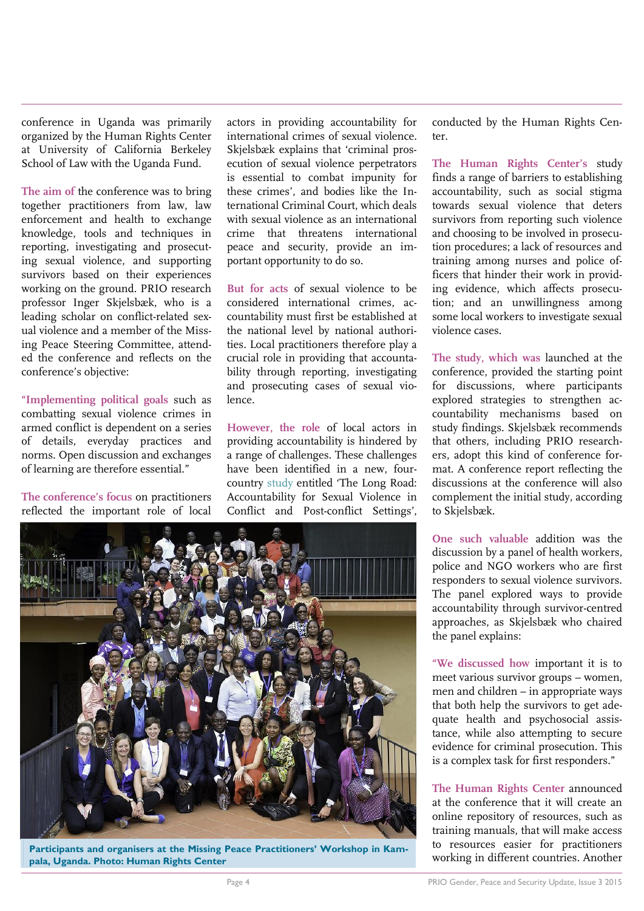conference in Uganda was primarily organized by the Human Rights Center at University of California Berkeley School of Law with the Uganda Fund.

**The aim of** the conference was to bring together practitioners from law, law enforcement and health to exchange knowledge, tools and techniques in reporting, investigating and prosecuting sexual violence, and supporting survivors based on their experiences working on the ground. PRIO research professor Inger Skjelsbæk, who is a leading scholar on conflict-related sexual violence and a member of the Missing Peace Steering Committee, attended the conference and reflects on the conference's objective:

**"Implementing political goals** such as combatting sexual violence crimes in armed conflict is dependent on a series of details, everyday practices and norms. Open discussion and exchanges of learning are therefore essential."

**The conference's focus** on practitioners reflected the important role of local

actors in providing accountability for international crimes of sexual violence. Skjelsbæk explains that 'criminal prosecution of sexual violence perpetrators is essential to combat impunity for these crimes', and bodies like the International Criminal Court, which deals with sexual violence as an international crime that threatens international peace and security, provide an important opportunity to do so.

**But for acts** of sexual violence to be considered international crimes, accountability must first be established at the national level by national authorities. Local practitioners therefore play a crucial role in providing that accountability through reporting, investigating and prosecuting cases of sexual violence<sup>-1</sup>

**However, the role** of local actors in providing accountability is hindered by a range of challenges. These challenges have been identified in a new, fourcountry [study](https://www.law.berkeley.edu/wp-content/uploads/2015/04/The-Long-Road-accountability_report_2015_final_web1.pdf) entitled 'The Long Road: Accountability for Sexual Violence in Conflict and Post-conflict Settings',



**The Human Rights Center's** study finds a range of barriers to establishing accountability, such as social stigma towards sexual violence that deters survivors from reporting such violence and choosing to be involved in prosecution procedures; a lack of resources and training among nurses and police officers that hinder their work in providing evidence, which affects prosecution; and an unwillingness among some local workers to investigate sexual violence cases.

**The study, which was** launched at the conference, provided the starting point for discussions, where participants explored strategies to strengthen accountability mechanisms based on study findings. Skjelsbæk recommends that others, including PRIO researchers, adopt this kind of conference format. A conference report reflecting the discussions at the conference will also complement the initial study, according to Skjelsbæk.

**One such valuable** addition was the discussion by a panel of health workers, police and NGO workers who are first responders to sexual violence survivors. The panel explored ways to provide accountability through survivor-centred approaches, as Skjelsbæk who chaired the panel explains:

**"We discussed how** important it is to meet various survivor groups – women, men and children – in appropriate ways that both help the survivors to get adequate health and psychosocial assistance, while also attempting to secure evidence for criminal prosecution. This is a complex task for first responders."

**The Human Rights Center** announced at the conference that it will create an online repository of resources, such as training manuals, that will make access to resources easier for practitioners working in different countries. Another



**Participants and organisers at the Missing Peace Practitioners' Workshop in Kampala, Uganda. Photo: Human Rights Center**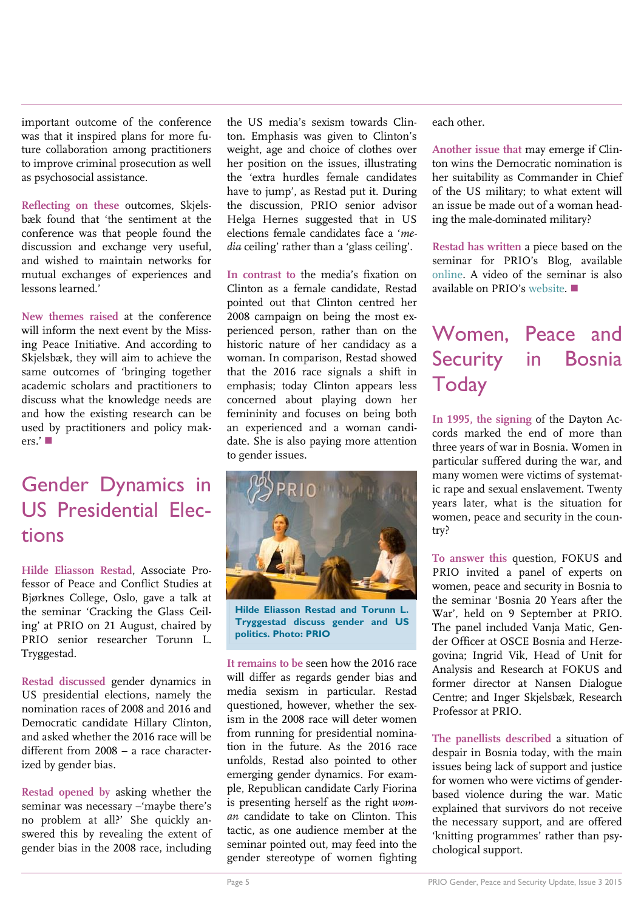important outcome of the conference was that it inspired plans for more future collaboration among practitioners to improve criminal prosecution as well as psychosocial assistance.

**Reflecting on these** outcomes, Skjelsbæk found that 'the sentiment at the conference was that people found the discussion and exchange very useful, and wished to maintain networks for mutual exchanges of experiences and lessons learned.'

**New themes raised** at the conference will inform the next event by the Missing Peace Initiative. And according to Skjelsbæk, they will aim to achieve the same outcomes of 'bringing together academic scholars and practitioners to discuss what the knowledge needs are and how the existing research can be used by practitioners and policy mak $ers.$ ' $\blacksquare$ 

### Gender Dynamics in US Presidential Elections

**Hilde Eliasson Restad**, Associate Professor of Peace and Conflict Studies at Bjørknes College, Oslo, gave a talk at the seminar 'Cracking the Glass Ceiling' at PRIO on 21 August, chaired by PRIO senior researcher Torunn L. Tryggestad.

**Restad discussed** gender dynamics in US presidential elections, namely the nomination races of 2008 and 2016 and Democratic candidate Hillary Clinton, and asked whether the 2016 race will be different from 2008 – a race characterized by gender bias.

**Restad opened by** asking whether the seminar was necessary –'maybe there's no problem at all?' She quickly answered this by revealing the extent of gender bias in the 2008 race, including

the US media's sexism towards Clinton. Emphasis was given to Clinton's weight, age and choice of clothes over her position on the issues, illustrating the 'extra hurdles female candidates have to jump', as Restad put it. During the discussion, PRIO senior advisor Helga Hernes suggested that in US elections female candidates face a '*media* ceiling' rather than a 'glass ceiling'.

**In contrast to** the media's fixation on Clinton as a female candidate, Restad pointed out that Clinton centred her 2008 campaign on being the most experienced person, rather than on the historic nature of her candidacy as a woman. In comparison, Restad showed that the 2016 race signals a shift in emphasis; today Clinton appears less concerned about playing down her femininity and focuses on being both an experienced and a woman candidate. She is also paying more attention to gender issues.



**Hilde Eliasson Restad and Torunn L. Tryggestad discuss gender and US politics. Photo: PRIO**

**It remains to be** seen how the 2016 race will differ as regards gender bias and media sexism in particular. Restad questioned, however, whether the sexism in the 2008 race will deter women from running for presidential nomination in the future. As the 2016 race unfolds, Restad also pointed to other emerging gender dynamics. For example, Republican candidate Carly Fiorina is presenting herself as the right *woman* candidate to take on Clinton. This tactic, as one audience member at the seminar pointed out, may feed into the gender stereotype of women fighting each other.

**Another issue that** may emerge if Clinton wins the Democratic nomination is her suitability as Commander in Chief of the US military; to what extent will an issue be made out of a woman heading the male-dominated military?

**Restad has written** a piece based on the seminar for PRIO's Blog, available [online.](http://blogs.prio.org/2015/08/cracking-the-glass-ceiling-hillary-rodham-clinton-and-u-s-presidential-politics/) A video of the seminar is also available on PRIO's [website.](https://vimeo.com/140649238)

### Women, Peace and Security in Bosnia **Today**

**In 1995, the signing** of the Dayton Accords marked the end of more than three years of war in Bosnia. Women in particular suffered during the war, and many women were victims of systematic rape and sexual enslavement. Twenty years later, what is the situation for women, peace and security in the country?

**To answer this** question, FOKUS and PRIO invited a panel of experts on women, peace and security in Bosnia to the seminar 'Bosnia 20 Years after the War', held on 9 September at PRIO. The panel included Vanja Matic, Gender Officer at OSCE Bosnia and Herzegovina; Ingrid Vik, Head of Unit for Analysis and Research at FOKUS and former director at Nansen Dialogue Centre; and Inger Skjelsbæk, Research Professor at PRIO.

**The panellists described** a situation of despair in Bosnia today, with the main issues being lack of support and justice for women who were victims of genderbased violence during the war. Matic explained that survivors do not receive the necessary support, and are offered 'knitting programmes' rather than psychological support.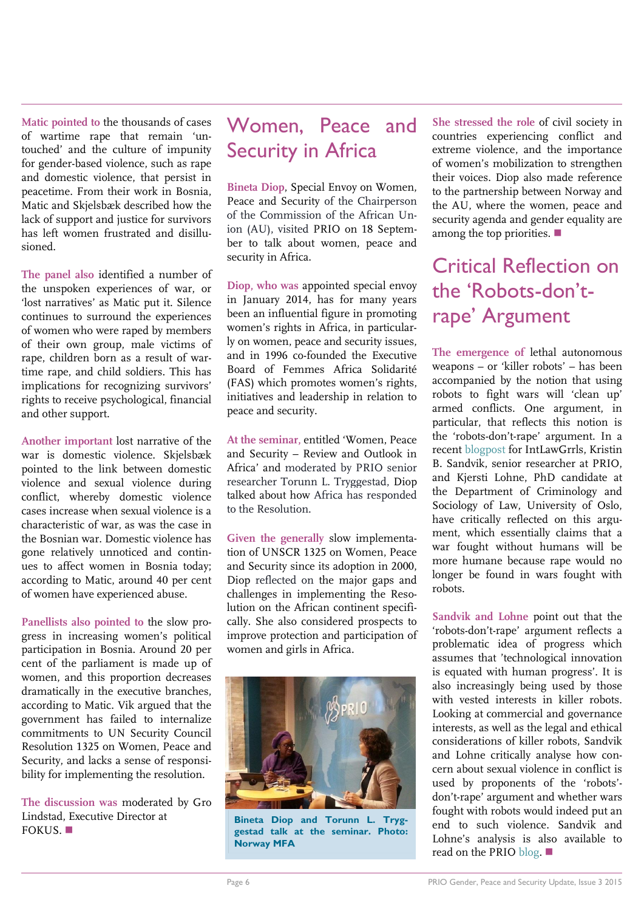**Matic pointed to** the thousands of cases of wartime rape that remain 'untouched' and the culture of impunity for gender-based violence, such as rape and domestic violence, that persist in peacetime. From their work in Bosnia, Matic and Skjelsbæk described how the lack of support and justice for survivors has left women frustrated and disillusioned.

**The panel also** identified a number of the unspoken experiences of war, or 'lost narratives' as Matic put it. Silence continues to surround the experiences of women who were raped by members of their own group, male victims of rape, children born as a result of wartime rape, and child soldiers. This has implications for recognizing survivors' rights to receive psychological, financial and other support.

**Another important** lost narrative of the war is domestic violence. Skjelsbæk pointed to the link between domestic violence and sexual violence during conflict, whereby domestic violence cases increase when sexual violence is a characteristic of war, as was the case in the Bosnian war. Domestic violence has gone relatively unnoticed and continues to affect women in Bosnia today; according to Matic, around 40 per cent of women have experienced abuse.

**Panellists also pointed to** the slow progress in increasing women's political participation in Bosnia. Around 20 per cent of the parliament is made up of women, and this proportion decreases dramatically in the executive branches, according to Matic. Vik argued that the government has failed to internalize commitments to UN Security Council Resolution 1325 on Women, Peace and Security, and lacks a sense of responsibility for implementing the resolution.

**The discussion was** moderated by Gro Lindstad, Executive Director at FOKUS.

### Women, Peace and Security in Africa

**Bineta Diop**, Special Envoy on Women, Peace and Security of the Chairperson of the Commission of the African Union (AU), visited PRIO on 18 September to talk about women, peace and security in Africa.

**Diop, who was** appointed special envoy in January 2014, has for many years been an influential figure in promoting women's rights in Africa, in particularly on women, peace and security issues, and in 1996 co-founded the Executive Board of Femmes Africa Solidarité (FAS) which promotes women's rights, initiatives and leadership in relation to peace and security.

**At the seminar,** entitled 'Women, Peace and Security – Review and Outlook in Africa' and moderated by PRIO senior researcher Torunn L. Tryggestad, Diop talked about how Africa has responded to the Resolution.

**Given the generally** slow implementation of UNSCR 1325 on Women, Peace and Security since its adoption in 2000, Diop reflected on the major gaps and challenges in implementing the Resolution on the African continent specifically. She also considered prospects to improve protection and participation of women and girls in Africa.



**Bineta Diop and Torunn L. Tryggestad talk at the seminar. Photo: Norway MFA**

**She stressed the role** of civil society in countries experiencing conflict and extreme violence, and the importance of women's mobilization to strengthen their voices. Diop also made reference to the partnership between Norway and the AU, where the women, peace and security agenda and gender equality are among the top priorities.  $\blacksquare$ 

Critical Reflection on the 'Robots-don'trape' Argument

**The emergence of** lethal autonomous weapons – or 'killer robots' – has been accompanied by the notion that using robots to fight wars will 'clean up' armed conflicts. One argument, in particular, that reflects this notion is the 'robots-don't-rape' argument. In a recent [blogpost](http://ilg2.org/2015/08/05/lethal-autonomous-weapons-killing-the-robots-dont-rape-argument/) for IntLawGrrls, Kristin B. Sandvik, senior researcher at PRIO, and Kjersti Lohne, PhD candidate at the Department of Criminology and Sociology of Law, University of Oslo, have critically reflected on this argument, which essentially claims that a war fought without humans will be more humane because rape would no longer be found in wars fought with robots.

**Sandvik and Lohne** point out that the 'robots-don't-rape' argument reflects a problematic idea of progress which assumes that 'technological innovation is equated with human progress'. It is also increasingly being used by those with vested interests in killer robots. Looking at commercial and governance interests, as well as the legal and ethical considerations of killer robots, Sandvik and Lohne critically analyse how concern about sexual violence in conflict is used by proponents of the 'robots' don't-rape' argument and whether wars fought with robots would indeed put an end to such violence. Sandvik and Lohne's analysis is also available to read on the PRI[O blog.](http://blogs.prio.org/2015/08/lethal-autonomous-weapons-killing-the-robots-dont-rape-argument/)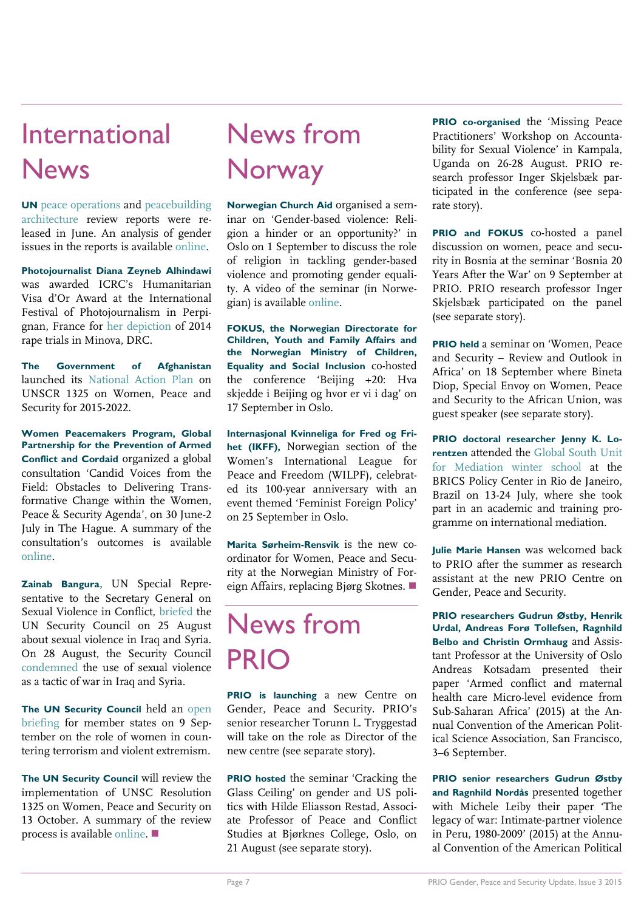## International **News**

**UN** [peace operations](http://www.un.org/sg/pdf/HIPPO_Report_1_June_2015.pdf) and [peacebuilding](http://www.un.org/en/peacebuilding/pdf/150630%20Report%20of%20the%20AGE%20on%20the%202015%20Peacebuilding%20Review%20FINAL.pdf)  [architecture](http://www.un.org/en/peacebuilding/pdf/150630%20Report%20of%20the%20AGE%20on%20the%202015%20Peacebuilding%20Review%20FINAL.pdf) review reports were released in June. An analysis of gender issues in the reports is available [online.](http://peaceoperationsreview.org/thematic-essays/missed-opportunities-gender-and-the-uns-peacebuilding-and-peace-operations-reports/)

**Photojournalist Diana Zeyneb Alhindawi** was awarded ICRC's Humanitarian Visa d'Or Award at the International Festival of Photojournalism in Perpignan, France for [her depiction](http://www.dianazeynebalhindawi.com/the-minova-rape-trials-congo-2014/) of 2014 rape trials in Minova, DRC.

**The Government of Afghanistan** launched its [National Action Plan](http://www.wunrn.com/pdf/iadl.pdf) on UNSCR 1325 on Women, Peace and Security for 2015-2022.

**Women Peacemakers Program, Global Partnership for the Prevention of Armed Conflict and Cordaid** organized a global consultation 'Candid Voices from the Field: Obstacles to Delivering Transformative Change within the Women, Peace & Security Agenda', on 30 June-2 July in The Hague. A summary of the consultation's outcomes is available [online.](https://www.womenpeacemakersprogram.org/news/candid-voices-on-women-peace-and-security-consultation-impressions/)

**Zainab Bangura**, UN Special Representative to the Secretary General on Sexual Violence in Conflict, [briefed](http://www.whatsinblue.org/2015/08/special-representative-bangura-to-brief-on-sexual-violence-in-iraq-and-syria.php) the UN Security Council on 25 August about sexual violence in Iraq and Syria. On 28 August, the Security Council [condemned](http://www.un.org/apps/news/story.asp?NewsID=51753#.Ve2wBBGqpHy) the use of sexual violence as a tactic of war in Iraq and Syria.

**The UN Security Council** held an [open](http://www.whatsinblue.org/2015/09/1373-committee-open-briefing-on-the-role-of-women-in-countering-terrorism-and-violent-extremism.php)  [briefing](http://www.whatsinblue.org/2015/09/1373-committee-open-briefing-on-the-role-of-women-in-countering-terrorism-and-violent-extremism.php) for member states on 9 September on the role of women in countering terrorism and violent extremism.

**The UN Security Council** will review the implementation of UNSC Resolution 1325 on Women, Peace and Security on 13 October. A summary of the review process is available [online.](http://m.securitycouncilreport.org/466255/show/0edc86872c2cf31d2800abae894e0d65/?) 

## News from **Norway**

**Norwegian Church Aid** organised a seminar on 'Gender-based violence: Religion a hinder or an opportunity?' in Oslo on 1 September to discuss the role of religion in tackling gender-based violence and promoting gender equality. A video of the seminar (in Norwegian) is available [online.](https://www.youtube.com/watch?v=bP_QDI9cWMM&feature=youtu.be)

**FOKUS, the Norwegian Directorate for Children, Youth and Family Affairs and the Norwegian Ministry of Children, Equality and Social Inclusion** co-hosted the conference 'Beijing +20: Hva skjedde i Beijing og hvor er vi i dag' on 17 September in Oslo.

**Internasjonal Kvinneliga for Fred og Frihet (IKFF),** Norwegian section of the Women's International League for Peace and Freedom (WILPF), celebrated its 100-year anniversary with an event themed 'Feminist Foreign Policy' on 25 September in Oslo.

**Marita Sørheim-Rensvik** is the new coordinator for Women, Peace and Security at the Norwegian Ministry of Foreign Affairs, replacing Bjørg Skotnes.

# News from PRIC

**PRIO is launching** a new Centre on Gender, Peace and Security. PRIO's senior researcher Torunn L. Tryggestad will take on the role as Director of the new centre (see separate story).

**PRIO hosted** the seminar 'Cracking the Glass Ceiling' on gender and US politics with Hilde Eliasson Restad, Associate Professor of Peace and Conflict Studies at Bjørknes College, Oslo, on 21 August (see separate story).

**PRIO co-organised** the 'Missing Peace Practitioners' Workshop on Accountability for Sexual Violence' in Kampala, Uganda on 26-28 August. PRIO research professor Inger Skjelsbæk participated in the conference (see separate story).

**PRIO and FOKUS** co-hosted a panel discussion on women, peace and security in Bosnia at the seminar 'Bosnia 20 Years After the War' on 9 September at PRIO. PRIO research professor Inger Skjelsbæk participated on the panel (see separate story).

**PRIO held** a seminar on 'Women, Peace and Security – Review and Outlook in Africa' on 18 September where Bineta Diop, Special Envoy on Women, Peace and Security to the African Union, was guest speaker (see separate story).

**PRIO doctoral researcher Jenny K. Lorentzen** attended the [Global South Unit](http://bricspolicycenter.org/homolog/projetos/Index/12?c=21)  [for Mediation winter school](http://bricspolicycenter.org/homolog/projetos/Index/12?c=21) at the BRICS Policy Center in Rio de Janeiro, Brazil on 13-24 July, where she took part in an academic and training programme on international mediation.

**Julie Marie Hansen** was welcomed back to PRIO after the summer as research assistant at the new PRIO Centre on Gender, Peace and Security.

**PRIO researchers Gudrun Østby, Henrik Urdal, Andreas Forø Tollefsen, Ragnhild Belbo and Christin Ormhaug** and Assistant Professor at the University of Oslo Andreas Kotsadam presented their paper 'Armed conflict and maternal health care Micro-level evidence from Sub-Saharan Africa' (2015) at the Annual Convention of the American Political Science Association, San Francisco, 3–6 September.

**PRIO senior researchers Gudrun Østby and Ragnhild Nordås** presented together with Michele Leiby their paper 'The legacy of war: Intimate-partner violence in Peru, 1980-2009' (2015) at the Annual Convention of the American Political